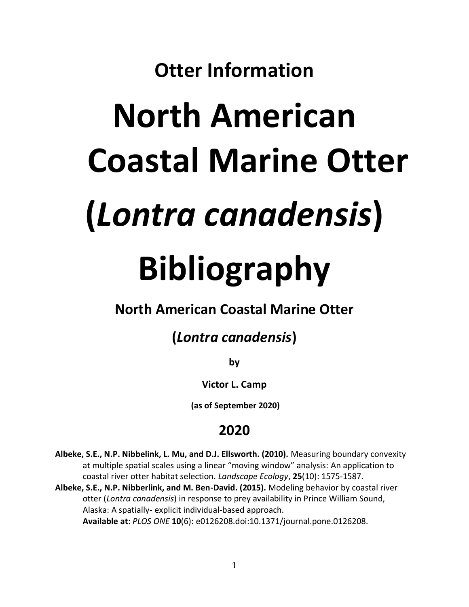## **Otter Information**

# **North American Coastal Marine Otter (***Lontra canadensis***) Bibliography**

#### **North American Coastal Marine Otter**

### **(***Lontra canadensis***)**

**by**

**Victor L. Camp**

**(as of September 2020)**

#### **2020**

- **Albeke, S.E., N.P. Nibbelink, L. Mu, and D.J. Ellsworth. (2010).** Measuring boundary convexity at multiple spatial scales using a linear "moving window" analysis: An application to coastal river otter habitat selection. *Landscape Ecology*, **25**(10): 1575-1587.
- **Albeke, S.E., N.P. Nibberlink, and M. Ben-David. (2015).** Modeling behavior by coastal river otter (*Lontra canadensis*) in response to prey availability in Prince William Sound, Alaska: A spatially- explicit individual-based approach. **Available at**: *PLOS ONE* **10**(6): e0126208.doi:10.1371/journal.pone.0126208.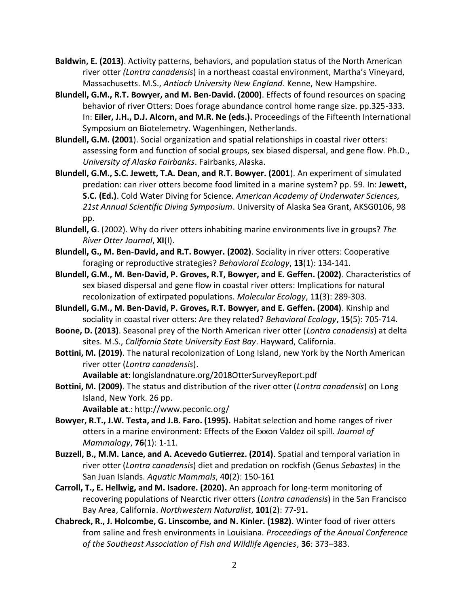**Baldwin, E. (2013)**. Activity patterns, behaviors, and population status of the North American river otter *(Lontra canadensis*) in a northeast coastal environment, Martha's Vineyard, Massachusetts. M.S., *Antioch University New England*. Kenne, New Hampshire.

- **Blundell, G.M., R.T. Bowyer, and M. Ben-David. (2000)**. Effects of found resources on spacing behavior of river Otters: Does forage abundance control home range size. pp.325-333. In: **Eiler, J.H., D.J. Alcorn, and M.R. Ne (eds.).** Proceedings of the Fifteenth International Symposium on Biotelemetry. Wagenhingen, Netherlands.
- **Blundell, G.M. (2001**). Social organization and spatial relationships in coastal river otters: assessing form and function of social groups, sex biased dispersal, and gene flow. Ph.D., *University of Alaska Fairbanks*. Fairbanks, Alaska.
- **Blundell, G.M., S.C. Jewett, T.A. Dean, and R.T. Bowyer. (2001**). An experiment of simulated predation: can river otters become food limited in a marine system? pp. 59. In: **Jewett, S.C. (Ed.)**. Cold Water Diving for Science. *American Academy of Underwater Sciences, 21st Annual Scientific Diving Symposium*. University of Alaska Sea Grant, AKSG0106, 98 pp.
- **Blundell, G**. (2002). Why do river otters inhabiting marine environments live in groups? *The River Otter Journal*, **XI**(I).
- **Blundell, G., M. Ben-David, and R.T. Bowyer. (2002)**. Sociality in river otters: Cooperative foraging or reproductive strategies? *Behavioral Ecology*, **13**(1): 134-141.
- **Blundell, G.M., M. Ben-David, P. Groves, R.T, Bowyer, and E. Geffen. (2002)**. Characteristics of sex biased dispersal and gene flow in coastal river otters: Implications for natural recolonization of extirpated populations. *Molecular Ecology*, 1**1**(3): 289-303.
- **Blundell, G.M., M. Ben-David, P. Groves, R.T. Bowyer, and E. Geffen. (2004)**. Kinship and sociality in coastal river otters: Are they related? *Behavioral Ecology*, 1**5**(5): 705-714.
- **Boone, D. (2013)**. Seasonal prey of the North American river otter (*Lontra canadensis*) at delta sites. M.S., *California State University East Bay*. Hayward, California.
- **Bottini, M. (2019)**. The natural recolonization of Long Island, new York by the North American river otter (*Lontra canadensis*).

**Available at**: longislandnature.org/2018OtterSurveyReport.pdf

**Bottini, M. (2009)**. The status and distribution of the river otter (*Lontra canadensis*) on Long Island, New York. 26 pp.

**Available at**.:<http://www.peconic.org/>

- **Bowyer, R.T., J.W. Testa, and J.B. Faro. (1995).** Habitat selection and home ranges of river otters in a marine environment: Effects of the Exxon Valdez oil spill. *Journal of Mammalogy*, **76**(1): 1-11.
- **Buzzell, B., M.M. Lance, and A. Acevedo Gutierrez. (2014)**. Spatial and temporal variation in river otter (*Lontra canadensis*) diet and predation on rockfish (Genus *Sebastes*) in the San Juan Islands. *Aquatic Mammals*, 4**0**(2): 150-161
- **Carroll, T., E. Hellwig, and M. Isadore. (2020).** An approach for long-term monitoring of recovering populations of Nearctic river otters (*Lontra canadensis*) in the San Francisco Bay Area, California. *Northwestern Naturalist*, **101**(2): 77-91**.**
- **Chabreck, R., J. Holcombe, G. Linscombe, and N. Kinler. (1982)**. Winter food of river otters from saline and fresh environments in Louisiana. *Proceedings of the Annual Conference of the Southeast Association of Fish and Wildlife Agencies*, **36**: 373–383.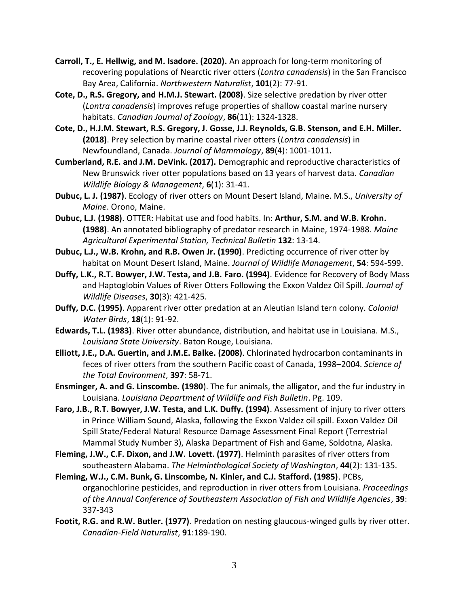- **Carroll, T., E. Hellwig, and M. Isadore. (2020).** An approach for long-term monitoring of recovering populations of Nearctic river otters (*Lontra canadensis*) in the San Francisco Bay Area, California. *Northwestern Naturalist*, **101**(2): 77-91.
- **Cote, D., R.S. Gregory, and H.M.J. Stewart. (2008)**. Size selective predation by river otter (*Lontra canadensis*) improves refuge properties of shallow coastal marine nursery habitats. *Canadian Journal of Zoology*, **86**(11): 1324-1328.
- **Cote, D., H.J.M. Stewart, R.S. Gregory, J. Gosse, J.J. Reynolds, G.B. Stenson, and E.H. Miller. (2018)**. Prey selection by marine coastal river otters (*Lontra canadensis*) in Newfoundland, Canada. *Journal of Mammalogy*, **89**(4): 1001-1011**.**
- **Cumberland, R.E. and J.M. DeVink. (2017).** Demographic and reproductive characteristics of New Brunswick river otter populations based on 13 years of harvest data. *Canadian Wildlife Biology & Management*, **6**(1): 31-41.
- **Dubuc, L. J. (1987)**. Ecology of river otters on Mount Desert Island, Maine. M.S., *University of Maine*. Orono, Maine.
- **Dubuc, L.J. (1988)**. OTTER: Habitat use and food habits. In: **Arthur, S.M. and W.B. Krohn. (1988)**. An annotated bibliography of predator research in Maine, 1974-1988. *Maine Agricultural Experimental Station, Technical Bulletin* **132**: 13-14.
- **Dubuc, L.J., W.B. Krohn, and R.B. Owen Jr. (1990)**. Predicting occurrence of river otter by habitat on Mount Desert Island, Maine. *Journal of Wildlife Management*, **54**: 594-599.
- **Duffy, L.K., R.T. Bowyer, J.W. Testa, and J.B. Faro. (1994)**. Evidence for Recovery of Body Mass and Haptoglobin Values of River Otters Following the Exxon Valdez Oil Spill. *Journal of Wildlife Diseases*, **30**(3): 421-425.
- **Duffy, D.C. (1995)**. Apparent river otter predation at an Aleutian Island tern colony. *Colonial Water Birds*, **18**(1): 91-92.
- **Edwards, T.L. (1983)**. River otter abundance, distribution, and habitat use in Louisiana. M.S., *Louisiana State University*. Baton Rouge, Louisiana.
- **Elliott, J.E., D.A. Guertin, and J.M.E. Balke. (2008)**. Chlorinated hydrocarbon contaminants in feces of river otters from the southern Pacific coast of Canada, 1998–2004. *Science of the Total Environment*, **397**: 58-71.
- **Ensminger, A. and G. Linscombe. (1980**). The fur animals, the alligator, and the fur industry in Louisiana. *Louisiana Department of Wildlife and Fish Bulletin*. Pg. 109.
- **Faro, J.B., R.T. Bowyer, J.W. Testa, and L.K. Duffy. (1994)**. Assessment of injury to river otters in Prince William Sound, Alaska, following the Exxon Valdez oil spill. Exxon Valdez Oil Spill State/Federal Natural Resource Damage Assessment Final Report (Terrestrial Mammal Study Number 3), Alaska Department of Fish and Game, Soldotna, Alaska.
- **Fleming, J.W., C.F. Dixon, and J.W. Lovett. (1977)**. Helminth parasites of river otters from southeastern Alabama. *The Helminthological Society of Washington*, **44**(2): 131-135.
- **Fleming, W.J., C.M. Bunk, G. Linscombe, N. Kinler, and C.J. Stafford. (1985)**. PCBs, organochlorine pesticides, and reproduction in river otters from Louisiana. *Proceedings of the Annual Conference of Southeastern Association of Fish and Wildlife Agencies*, **39**: 337-343
- **Footit, R.G. and R.W. Butler. (1977)**. Predation on nesting glaucous-winged gulls by river otter. *Canadian-Field Naturalist*, **91**:189-190.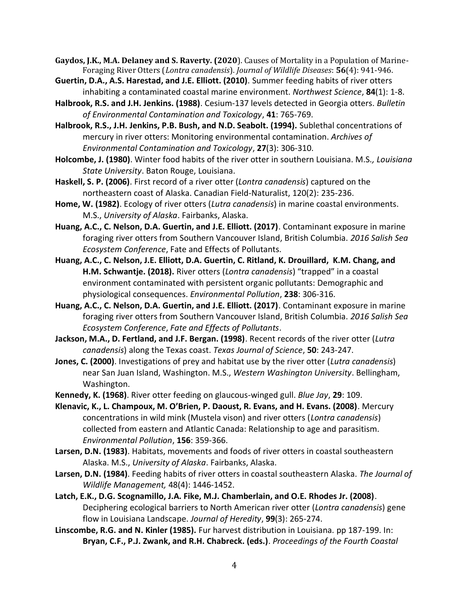**Gaydos, J.K., M.A. Delaney and S. Raverty. (2020**). Causes of Mortality in a Population of Marine-Foraging River Otters (*Lontra canadensis*). *Journal of Wildlife Diseases*: **56**(4): 941-946.

- **Guertin, D.A., A.S. Harestad, and J.E. Elliott. (2010)**. Summer feeding habits of river otters inhabiting a contaminated coastal marine environment. *Northwest Science*, **84**(1): 1-8.
- **Halbrook, R.S. and J.H. Jenkins. (1988)**. Cesium-137 levels detected in Georgia otters. *Bulletin of Environmental Contamination and Toxicology*, **41**: 765-769.
- **Halbrook, R.S., J.H. Jenkins, P.B. Bush, and N.D. Seabolt. (1994).** Sublethal concentrations of mercury in river otters: Monitoring environmental contamination. *Archives of Environmental Contamination and Toxicology*, **27**(3): 306-310.
- **Holcombe, J. (1980)**. Winter food habits of the river otter in southern Louisiana. M.S*., Louisiana State University*. Baton Rouge, Louisiana.
- **Haskell, S. P. (2006)**. First record of a river otter (*Lontra canadensis*) captured on the northeastern coast of Alaska. Canadian Field-Naturalist, 120(2): 235-236.
- **Home, W. (1982)**. Ecology of river otters (*Lutra canadensis*) in marine coastal environments. M.S., *University of Alaska*. Fairbanks, Alaska.
- **Huang, A.C., C. Nelson, D.A. Guertin, and J.E. Elliott. (2017)**. Contaminant exposure in marine foraging river otters from Southern Vancouver Island, British Columbia. *2016 Salish Sea Ecosystem Conference*, Fate and Effects of Pollutants.
- **Huang, A.C., C. Nelson, J.E. Elliott, D.A. Guertin, C. Ritland, K. Drouillard, K.M. Chang, and H.M. Schwantje. (2018).** River otters (*Lontra canadensis*) "trapped" in a coastal environment contaminated with persistent organic pollutants: Demographic and physiological consequences. *Environmental Pollution*, **238**: 306-316.
- **Huang, A.C., C. Nelson, D.A. Guertin, and J.E. Elliott. (2017)**. Contaminant exposure in marine foraging river otters from Southern Vancouver Island, British Columbia. *2016 Salish Sea Ecosystem Conference*, *Fate and Effects of Pollutants*.
- **Jackson, M.A., D. Fertland, and J.F. Bergan. (1998)**. Recent records of the river otter (*Lutra canadensis*) along the Texas coast. *Texas Journal of Science*, **50**: 243-247.
- **Jones, C. (2000)**. Investigations of prey and habitat use by the river otter (*Lutra canadensis*) near San Juan Island, Washington. M.S., *Western Washington University*. Bellingham, Washington.
- **Kennedy, K. (1968)**. River otter feeding on glaucous-winged gull. *Blue Jay*, **29**: 109.
- **Klenavic, K., L. Champoux, M. O'Brien, P. Daoust, R. Evans, and H. Evans. (2008)**. Mercury concentrations in wild mink (Mustela vison) and river otters (*Lontra canadensis*) collected from eastern and Atlantic Canada: Relationship to age and parasitism. *Environmental Pollution*, **156**: 359-366.
- **Larsen, D.N. (1983)**. Habitats, movements and foods of river otters in coastal southeastern Alaska. M.S., *University of Alaska*. Fairbanks, Alaska.
- **Larsen, D.N. (1984)**. Feeding habits of river otters in coastal southeastern Alaska. *The Journal of Wildlife Management,* 48(4): 1446-1452.
- **Latch, E.K., D.G. Scognamillo, J.A. Fike, M.J. Chamberlain, and O.E. Rhodes Jr. (2008)**. Deciphering ecological barriers to North American river otter (*Lontra canadensis*) gene flow in Louisiana Landscape. *Journal of Heredity*, **99**(3): 265-274.
- **Linscombe, R.G. and N. Kinler (1985).** Fur harvest distribution in Louisiana. pp 187-199. In: **Bryan, C.F., P.J. Zwank, and R.H. Chabreck. (eds.)**. *Proceedings of the Fourth Coastal*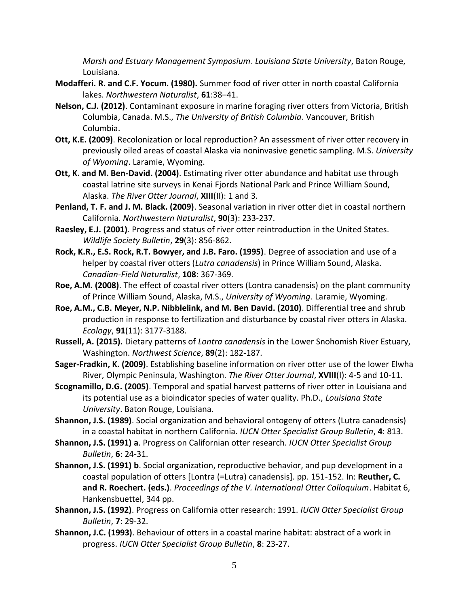*Marsh and Estuary Management Symposium*. *Louisiana State University*, Baton Rouge, Louisiana.

- **Modafferi. R. and C.F. Yocum. (1980).** Summer food of river otter in north coastal California lakes. *Northwestern Naturalist*, **61**:38–41.
- **Nelson, C.J. (2012)**. Contaminant exposure in marine foraging river otters from Victoria, British Columbia, Canada. M.S., *The University of British Columbia*. Vancouver, British Columbia.
- **Ott, K.E. (2009)**. Recolonization or local reproduction? An assessment of river otter recovery in previously oiled areas of coastal Alaska via noninvasive genetic sampling. M.S. *University of Wyoming*. Laramie, Wyoming.
- **Ott, K. and M. Ben-David. (2004)**. Estimating river otter abundance and habitat use through coastal latrine site surveys in Kenai Fjords National Park and Prince William Sound, Alaska. *The River Otter Journal*, **XIII**(II): 1 and 3.
- **Penland, T. F. and J. M. Black. (2009)**. Seasonal variation in river otter diet in coastal northern California. *Northwestern Naturalist*, **90**(3): 233-237.
- **Raesley, E.J. (2001)**. Progress and status of river otter reintroduction in the United States. *Wildlife Society Bulletin*, **29**(3): 856-862.
- **Rock, K.R., E.S. Rock, R.T. Bowyer, and J.B. Faro. (1995)**. Degree of association and use of a helper by coastal river otters (*Lutra canadensis*) in Prince William Sound, Alaska. *Canadian-Field Naturalist*, **108**: 367-369.
- **Roe, A.M. (2008)**. The effect of coastal river otters (Lontra canadensis) on the plant community of Prince William Sound, Alaska, M.S., *University of Wyoming*. Laramie, Wyoming.
- **Roe, A.M., C.B. Meyer, N.P. Nibblelink, and M. Ben David. (2010)**. Differential tree and shrub production in response to fertilization and disturbance by coastal river otters in Alaska. *Ecology*, **91**(11): 3177-3188.
- **Russell, A. (2015).** Dietary patterns of *Lontra canadensis* in the Lower Snohomish River Estuary, Washington. *Northwest Science*, **89**(2): 182-187.
- **Sager-Fradkin, K. (2009)**. Establishing baseline information on river otter use of the lower Elwha River, Olympic Peninsula, Washington. *The River Otter Journal*, **XVIII**(I): 4-5 and 10-11.
- **Scognamillo, D.G. (2005)**. Temporal and spatial harvest patterns of river otter in Louisiana and its potential use as a bioindicator species of water quality. Ph.D., *Louisiana State University*. Baton Rouge, Louisiana.
- **Shannon, J.S. (1989)**. Social organization and behavioral ontogeny of otters (Lutra canadensis) in a coastal habitat in northern California. *IUCN Otter Specialist Group Bulletin*, **4**: 813.
- **Shannon, J.S. (1991) a**. Progress on Californian otter research. *IUCN Otter Specialist Group Bulletin*, **6**: 24-31.
- **Shannon, J.S. (1991) b**. Social organization, reproductive behavior, and pup development in a coastal population of otters [Lontra (=Lutra) canadensis]. pp. 151-152. In: **Reuther, C. and R. Roechert. (eds.)**. *Proceedings of the V. International Otter Colloquium*. Habitat 6, Hankensbuettel, 344 pp.
- **Shannon, J.S. (1992)**. Progress on California otter research: 1991. *IUCN Otter Specialist Group Bulletin*, **7**: 29-32.
- **Shannon, J.C. (1993)**. Behaviour of otters in a coastal marine habitat: abstract of a work in progress. *IUCN Otter Specialist Group Bulletin*, **8**: 23-27.